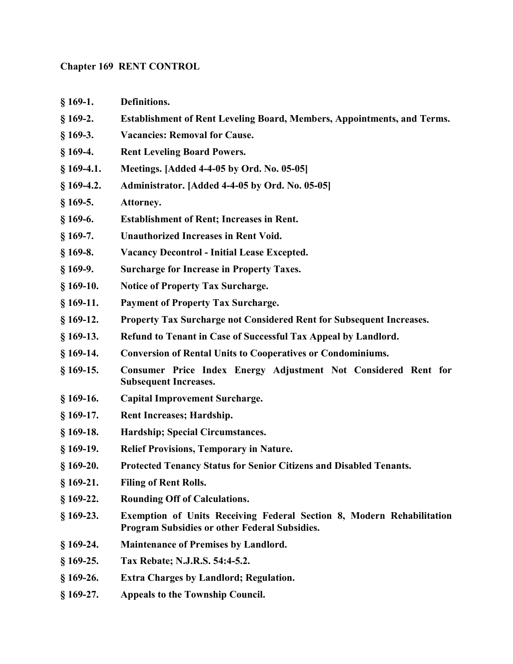#### Chapter 169 RENT CONTROL

- § 169-1. Definitions.
- § 169-2. Establishment of Rent Leveling Board, Members, Appointments, and Terms.
- § 169-3. Vacancies: Removal for Cause.
- § 169-4. Rent Leveling Board Powers.
- § 169-4.1. Meetings. [Added 4-4-05 by Ord. No. 05-05]
- § 169-4.2. Administrator. [Added 4-4-05 by Ord. No. 05-05]
- § 169-5. Attorney.
- § 169-6. Establishment of Rent; Increases in Rent.
- § 169-7. Unauthorized Increases in Rent Void.
- § 169-8. Vacancy Decontrol Initial Lease Excepted.
- § 169-9. Surcharge for Increase in Property Taxes.
- § 169-10. Notice of Property Tax Surcharge.
- § 169-11. Payment of Property Tax Surcharge.
- § 169-12. Property Tax Surcharge not Considered Rent for Subsequent Increases.
- § 169-13. Refund to Tenant in Case of Successful Tax Appeal by Landlord.
- § 169-14. Conversion of Rental Units to Cooperatives or Condominiums.
- § 169-15. Consumer Price Index Energy Adjustment Not Considered Rent for Subsequent Increases.
- § 169-16. Capital Improvement Surcharge.
- § 169-17. Rent Increases; Hardship.
- § 169-18. Hardship; Special Circumstances.
- § 169-19. Relief Provisions, Temporary in Nature.
- § 169-20. Protected Tenancy Status for Senior Citizens and Disabled Tenants.
- § 169-21. Filing of Rent Rolls.
- § 169-22. Rounding Off of Calculations.
- § 169-23. Exemption of Units Receiving Federal Section 8, Modern Rehabilitation Program Subsidies or other Federal Subsidies.
- § 169-24. Maintenance of Premises by Landlord.
- § 169-25. Tax Rebate; N.J.R.S. 54:4-5.2.
- § 169-26. Extra Charges by Landlord; Regulation.
- § 169-27. Appeals to the Township Council.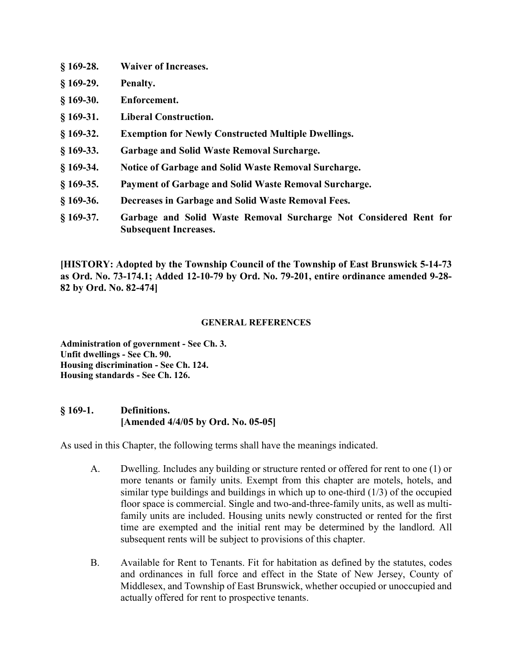- § 169-28. Waiver of Increases.
- § 169-29. Penalty.
- § 169-30. Enforcement.
- § 169-31. Liberal Construction.
- § 169-32. Exemption for Newly Constructed Multiple Dwellings.
- § 169-33. Garbage and Solid Waste Removal Surcharge.
- § 169-34. Notice of Garbage and Solid Waste Removal Surcharge.
- § 169-35. Payment of Garbage and Solid Waste Removal Surcharge.
- § 169-36. Decreases in Garbage and Solid Waste Removal Fees.
- § 169-37. Garbage and Solid Waste Removal Surcharge Not Considered Rent for Subsequent Increases.

[HISTORY: Adopted by the Township Council of the Township of East Brunswick 5-14-73 as Ord. No. 73-174.1; Added 12-10-79 by Ord. No. 79-201, entire ordinance amended 9-28- 82 by Ord. No. 82-474]

#### GENERAL REFERENCES

Administration of government - See Ch. 3. Unfit dwellings - See Ch. 90. Housing discrimination - See Ch. 124. Housing standards - See Ch. 126.

#### § 169-1. Definitions. [Amended 4/4/05 by Ord. No. 05-05]

As used in this Chapter, the following terms shall have the meanings indicated.

- A. Dwelling. Includes any building or structure rented or offered for rent to one (1) or more tenants or family units. Exempt from this chapter are motels, hotels, and similar type buildings and buildings in which up to one-third (1/3) of the occupied floor space is commercial. Single and two-and-three-family units, as well as multifamily units are included. Housing units newly constructed or rented for the first time are exempted and the initial rent may be determined by the landlord. All subsequent rents will be subject to provisions of this chapter.
- B. Available for Rent to Tenants. Fit for habitation as defined by the statutes, codes and ordinances in full force and effect in the State of New Jersey, County of Middlesex, and Township of East Brunswick, whether occupied or unoccupied and actually offered for rent to prospective tenants.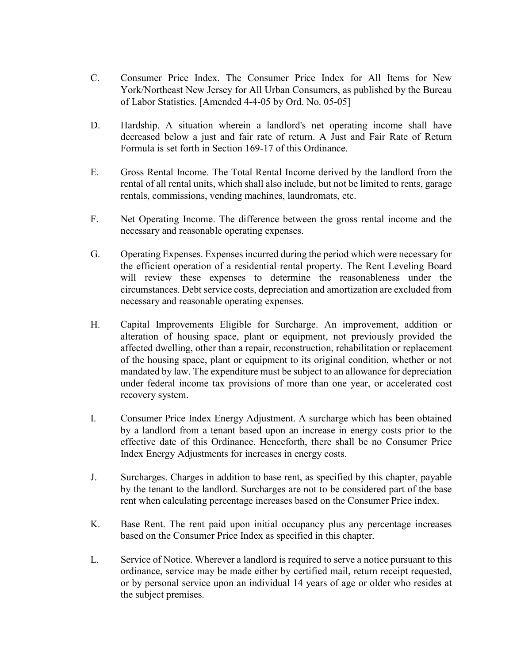- C. Consumer Price Index. The Consumer Price Index for All Items for New York/Northeast New Jersey for All Urban Consumers, as published by the Bureau of Labor Statistics. [Amended 4-4-05 by Ord. No. 05-05]
- D. Hardship. A situation wherein a landlord's net operating income shall have decreased below a just and fair rate of return. A Just and Fair Rate of Return Formula is set forth in Section 169-17 of this Ordinance.
- E. Gross Rental Income. The Total Rental Income derived by the landlord from the rental of all rental units, which shall also include, but not be limited to rents, garage rentals, commissions, vending machines, laundromats, etc.
- F. Net Operating Income. The difference between the gross rental income and the necessary and reasonable operating expenses.
- G. Operating Expenses. Expenses incurred during the period which were necessary for the efficient operation of a residential rental property. The Rent Leveling Board will review these expenses to determine the reasonableness under the circumstances. Debt service costs, depreciation and amortization are excluded from necessary and reasonable operating expenses.
- H. Capital Improvements Eligible for Surcharge. An improvement, addition or alteration of housing space, plant or equipment, not previously provided the affected dwelling, other than a repair, reconstruction, rehabilitation or replacement of the housing space, plant or equipment to its original condition, whether or not mandated by law. The expenditure must be subject to an allowance for depreciation under federal income tax provisions of more than one year, or accelerated cost recovery system.
- I. Consumer Price Index Energy Adjustment. A surcharge which has been obtained by a landlord from a tenant based upon an increase in energy costs prior to the effective date of this Ordinance. Henceforth, there shall be no Consumer Price Index Energy Adjustments for increases in energy costs.
- J. Surcharges. Charges in addition to base rent, as specified by this chapter, payable by the tenant to the landlord. Surcharges are not to be considered part of the base rent when calculating percentage increases based on the Consumer Price index.
- K. Base Rent. The rent paid upon initial occupancy plus any percentage increases based on the Consumer Price Index as specified in this chapter.
- L. Service of Notice. Wherever a landlord is required to serve a notice pursuant to this ordinance, service may be made either by certified mail, return receipt requested, or by personal service upon an individual 14 years of age or older who resides at the subject premises.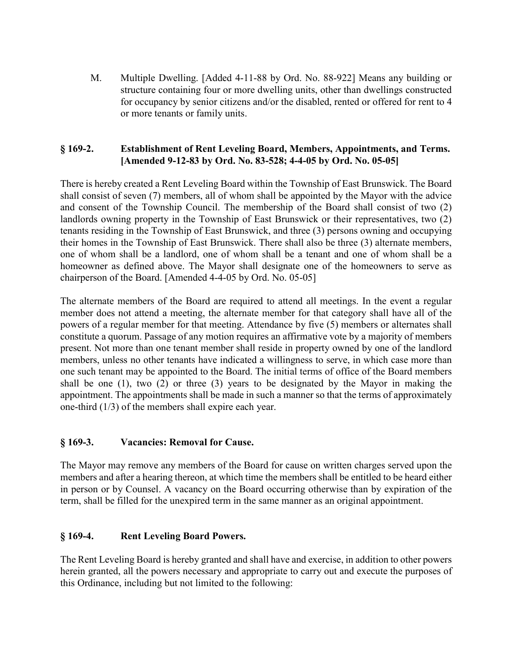M. Multiple Dwelling. [Added 4-11-88 by Ord. No. 88-922] Means any building or structure containing four or more dwelling units, other than dwellings constructed for occupancy by senior citizens and/or the disabled, rented or offered for rent to 4 or more tenants or family units.

#### § 169-2. Establishment of Rent Leveling Board, Members, Appointments, and Terms. [Amended 9-12-83 by Ord. No. 83-528; 4-4-05 by Ord. No. 05-05]

There is hereby created a Rent Leveling Board within the Township of East Brunswick. The Board shall consist of seven (7) members, all of whom shall be appointed by the Mayor with the advice and consent of the Township Council. The membership of the Board shall consist of two (2) landlords owning property in the Township of East Brunswick or their representatives, two (2) tenants residing in the Township of East Brunswick, and three (3) persons owning and occupying their homes in the Township of East Brunswick. There shall also be three (3) alternate members, one of whom shall be a landlord, one of whom shall be a tenant and one of whom shall be a homeowner as defined above. The Mayor shall designate one of the homeowners to serve as chairperson of the Board. [Amended 4-4-05 by Ord. No. 05-05]

The alternate members of the Board are required to attend all meetings. In the event a regular member does not attend a meeting, the alternate member for that category shall have all of the powers of a regular member for that meeting. Attendance by five (5) members or alternates shall constitute a quorum. Passage of any motion requires an affirmative vote by a majority of members present. Not more than one tenant member shall reside in property owned by one of the landlord members, unless no other tenants have indicated a willingness to serve, in which case more than one such tenant may be appointed to the Board. The initial terms of office of the Board members shall be one (1), two (2) or three (3) years to be designated by the Mayor in making the appointment. The appointments shall be made in such a manner so that the terms of approximately one-third (1/3) of the members shall expire each year.

### § 169-3. Vacancies: Removal for Cause.

The Mayor may remove any members of the Board for cause on written charges served upon the members and after a hearing thereon, at which time the members shall be entitled to be heard either in person or by Counsel. A vacancy on the Board occurring otherwise than by expiration of the term, shall be filled for the unexpired term in the same manner as an original appointment.

### § 169-4. Rent Leveling Board Powers.

The Rent Leveling Board is hereby granted and shall have and exercise, in addition to other powers herein granted, all the powers necessary and appropriate to carry out and execute the purposes of this Ordinance, including but not limited to the following: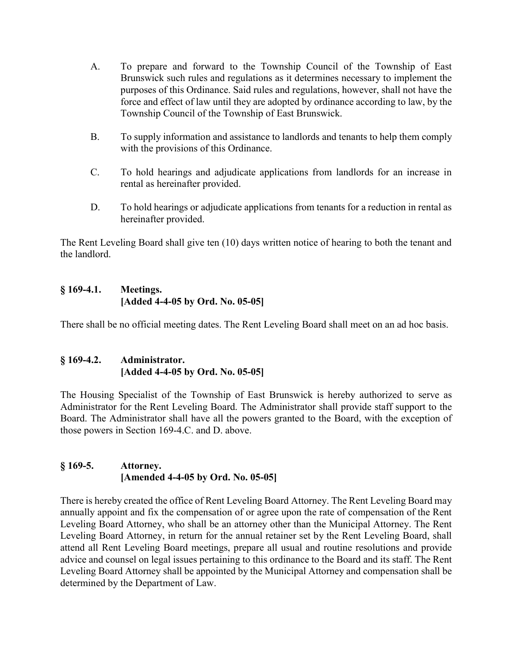- A. To prepare and forward to the Township Council of the Township of East Brunswick such rules and regulations as it determines necessary to implement the purposes of this Ordinance. Said rules and regulations, however, shall not have the force and effect of law until they are adopted by ordinance according to law, by the Township Council of the Township of East Brunswick.
- B. To supply information and assistance to landlords and tenants to help them comply with the provisions of this Ordinance.
- C. To hold hearings and adjudicate applications from landlords for an increase in rental as hereinafter provided.
- D. To hold hearings or adjudicate applications from tenants for a reduction in rental as hereinafter provided.

The Rent Leveling Board shall give ten (10) days written notice of hearing to both the tenant and the landlord.

#### § 169-4.1. Meetings. [Added 4-4-05 by Ord. No. 05-05]

There shall be no official meeting dates. The Rent Leveling Board shall meet on an ad hoc basis.

# § 169-4.2. Administrator. [Added 4-4-05 by Ord. No. 05-05]

The Housing Specialist of the Township of East Brunswick is hereby authorized to serve as Administrator for the Rent Leveling Board. The Administrator shall provide staff support to the Board. The Administrator shall have all the powers granted to the Board, with the exception of those powers in Section 169-4.C. and D. above.

# § 169-5. Attorney. [Amended 4-4-05 by Ord. No. 05-05]

There is hereby created the office of Rent Leveling Board Attorney. The Rent Leveling Board may annually appoint and fix the compensation of or agree upon the rate of compensation of the Rent Leveling Board Attorney, who shall be an attorney other than the Municipal Attorney. The Rent Leveling Board Attorney, in return for the annual retainer set by the Rent Leveling Board, shall attend all Rent Leveling Board meetings, prepare all usual and routine resolutions and provide advice and counsel on legal issues pertaining to this ordinance to the Board and its staff. The Rent Leveling Board Attorney shall be appointed by the Municipal Attorney and compensation shall be determined by the Department of Law.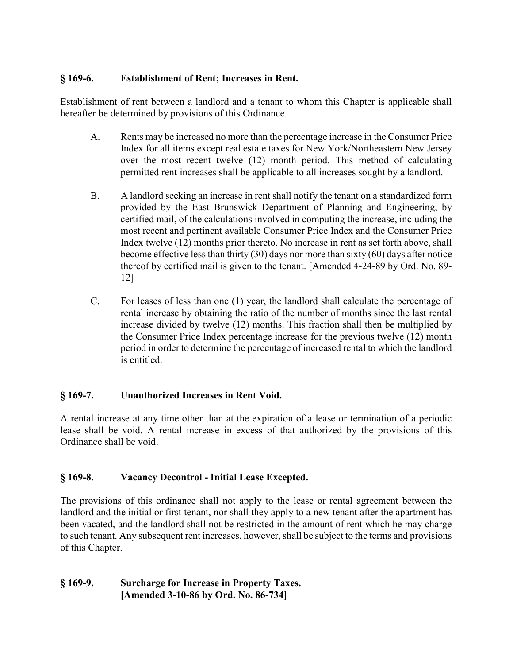### § 169-6. Establishment of Rent; Increases in Rent.

Establishment of rent between a landlord and a tenant to whom this Chapter is applicable shall hereafter be determined by provisions of this Ordinance.

- A. Rents may be increased no more than the percentage increase in the Consumer Price Index for all items except real estate taxes for New York/Northeastern New Jersey over the most recent twelve (12) month period. This method of calculating permitted rent increases shall be applicable to all increases sought by a landlord.
- B. A landlord seeking an increase in rent shall notify the tenant on a standardized form provided by the East Brunswick Department of Planning and Engineering, by certified mail, of the calculations involved in computing the increase, including the most recent and pertinent available Consumer Price Index and the Consumer Price Index twelve (12) months prior thereto. No increase in rent as set forth above, shall become effective less than thirty (30) days nor more than sixty (60) days after notice thereof by certified mail is given to the tenant. [Amended 4-24-89 by Ord. No. 89- 12]
- C. For leases of less than one (1) year, the landlord shall calculate the percentage of rental increase by obtaining the ratio of the number of months since the last rental increase divided by twelve (12) months. This fraction shall then be multiplied by the Consumer Price Index percentage increase for the previous twelve (12) month period in order to determine the percentage of increased rental to which the landlord is entitled.

### § 169-7. Unauthorized Increases in Rent Void.

A rental increase at any time other than at the expiration of a lease or termination of a periodic lease shall be void. A rental increase in excess of that authorized by the provisions of this Ordinance shall be void.

# § 169-8. Vacancy Decontrol - Initial Lease Excepted.

The provisions of this ordinance shall not apply to the lease or rental agreement between the landlord and the initial or first tenant, nor shall they apply to a new tenant after the apartment has been vacated, and the landlord shall not be restricted in the amount of rent which he may charge to such tenant. Any subsequent rent increases, however, shall be subject to the terms and provisions of this Chapter.

### § 169-9. Surcharge for Increase in Property Taxes. [Amended 3-10-86 by Ord. No. 86-734]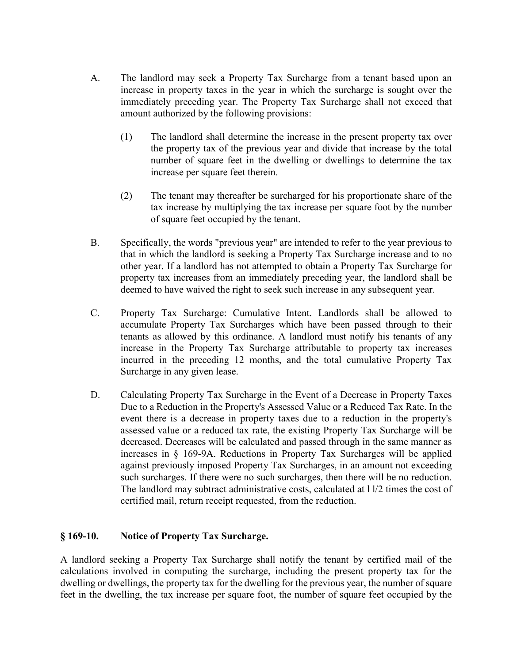- A. The landlord may seek a Property Tax Surcharge from a tenant based upon an increase in property taxes in the year in which the surcharge is sought over the immediately preceding year. The Property Tax Surcharge shall not exceed that amount authorized by the following provisions:
	- (1) The landlord shall determine the increase in the present property tax over the property tax of the previous year and divide that increase by the total number of square feet in the dwelling or dwellings to determine the tax increase per square feet therein.
	- (2) The tenant may thereafter be surcharged for his proportionate share of the tax increase by multiplying the tax increase per square foot by the number of square feet occupied by the tenant.
- B. Specifically, the words "previous year" are intended to refer to the year previous to that in which the landlord is seeking a Property Tax Surcharge increase and to no other year. If a landlord has not attempted to obtain a Property Tax Surcharge for property tax increases from an immediately preceding year, the landlord shall be deemed to have waived the right to seek such increase in any subsequent year.
- C. Property Tax Surcharge: Cumulative Intent. Landlords shall be allowed to accumulate Property Tax Surcharges which have been passed through to their tenants as allowed by this ordinance. A landlord must notify his tenants of any increase in the Property Tax Surcharge attributable to property tax increases incurred in the preceding 12 months, and the total cumulative Property Tax Surcharge in any given lease.
- D. Calculating Property Tax Surcharge in the Event of a Decrease in Property Taxes Due to a Reduction in the Property's Assessed Value or a Reduced Tax Rate. In the event there is a decrease in property taxes due to a reduction in the property's assessed value or a reduced tax rate, the existing Property Tax Surcharge will be decreased. Decreases will be calculated and passed through in the same manner as increases in § 169-9A. Reductions in Property Tax Surcharges will be applied against previously imposed Property Tax Surcharges, in an amount not exceeding such surcharges. If there were no such surcharges, then there will be no reduction. The landlord may subtract administrative costs, calculated at l l/2 times the cost of certified mail, return receipt requested, from the reduction.

### § 169-10. Notice of Property Tax Surcharge.

A landlord seeking a Property Tax Surcharge shall notify the tenant by certified mail of the calculations involved in computing the surcharge, including the present property tax for the dwelling or dwellings, the property tax for the dwelling for the previous year, the number of square feet in the dwelling, the tax increase per square foot, the number of square feet occupied by the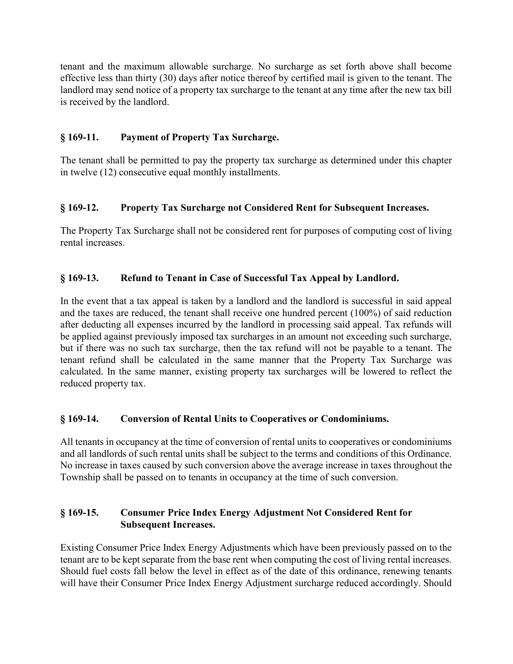tenant and the maximum allowable surcharge. No surcharge as set forth above shall become effective less than thirty (30) days after notice thereof by certified mail is given to the tenant. The landlord may send notice of a property tax surcharge to the tenant at any time after the new tax bill is received by the landlord.

# § 169-11. Payment of Property Tax Surcharge.

The tenant shall be permitted to pay the property tax surcharge as determined under this chapter in twelve (12) consecutive equal monthly installments.

# § 169-12. Property Tax Surcharge not Considered Rent for Subsequent Increases.

The Property Tax Surcharge shall not be considered rent for purposes of computing cost of living rental increases.

# § 169-13. Refund to Tenant in Case of Successful Tax Appeal by Landlord.

In the event that a tax appeal is taken by a landlord and the landlord is successful in said appeal and the taxes are reduced, the tenant shall receive one hundred percent (100%) of said reduction after deducting all expenses incurred by the landlord in processing said appeal. Tax refunds will be applied against previously imposed tax surcharges in an amount not exceeding such surcharge, but if there was no such tax surcharge, then the tax refund will not be payable to a tenant. The tenant refund shall be calculated in the same manner that the Property Tax Surcharge was calculated. In the same manner, existing property tax surcharges will be lowered to reflect the reduced property tax.

### § 169-14. Conversion of Rental Units to Cooperatives or Condominiums.

All tenants in occupancy at the time of conversion of rental units to cooperatives or condominiums and all landlords of such rental units shall be subject to the terms and conditions of this Ordinance. No increase in taxes caused by such conversion above the average increase in taxes throughout the Township shall be passed on to tenants in occupancy at the time of such conversion.

# § 169-15. Consumer Price Index Energy Adjustment Not Considered Rent for Subsequent Increases.

Existing Consumer Price Index Energy Adjustments which have been previously passed on to the tenant are to be kept separate from the base rent when computing the cost of living rental increases. Should fuel costs fall below the level in effect as of the date of this ordinance, renewing tenants will have their Consumer Price Index Energy Adjustment surcharge reduced accordingly. Should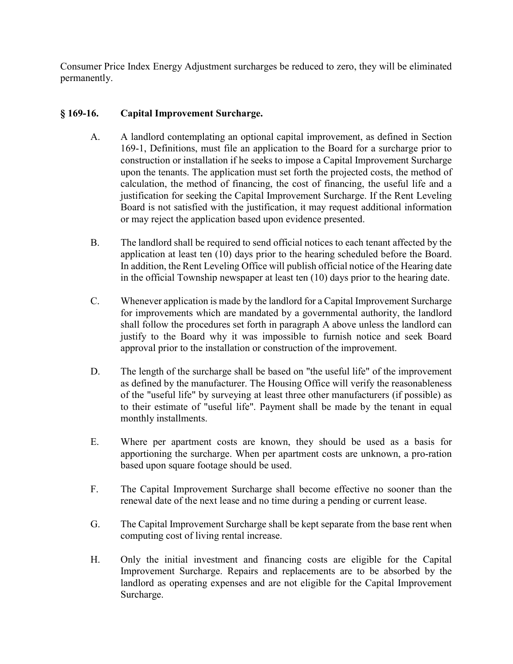Consumer Price Index Energy Adjustment surcharges be reduced to zero, they will be eliminated permanently.

### § 169-16. Capital Improvement Surcharge.

- A. A landlord contemplating an optional capital improvement, as defined in Section 169-1, Definitions, must file an application to the Board for a surcharge prior to construction or installation if he seeks to impose a Capital Improvement Surcharge upon the tenants. The application must set forth the projected costs, the method of calculation, the method of financing, the cost of financing, the useful life and a justification for seeking the Capital Improvement Surcharge. If the Rent Leveling Board is not satisfied with the justification, it may request additional information or may reject the application based upon evidence presented.
- B. The landlord shall be required to send official notices to each tenant affected by the application at least ten (10) days prior to the hearing scheduled before the Board. In addition, the Rent Leveling Office will publish official notice of the Hearing date in the official Township newspaper at least ten (10) days prior to the hearing date.
- C. Whenever application is made by the landlord for a Capital Improvement Surcharge for improvements which are mandated by a governmental authority, the landlord shall follow the procedures set forth in paragraph A above unless the landlord can justify to the Board why it was impossible to furnish notice and seek Board approval prior to the installation or construction of the improvement.
- D. The length of the surcharge shall be based on "the useful life" of the improvement as defined by the manufacturer. The Housing Office will verify the reasonableness of the "useful life" by surveying at least three other manufacturers (if possible) as to their estimate of "useful life". Payment shall be made by the tenant in equal monthly installments.
- E. Where per apartment costs are known, they should be used as a basis for apportioning the surcharge. When per apartment costs are unknown, a pro-ration based upon square footage should be used.
- F. The Capital Improvement Surcharge shall become effective no sooner than the renewal date of the next lease and no time during a pending or current lease.
- G. The Capital Improvement Surcharge shall be kept separate from the base rent when computing cost of living rental increase.
- H. Only the initial investment and financing costs are eligible for the Capital Improvement Surcharge. Repairs and replacements are to be absorbed by the landlord as operating expenses and are not eligible for the Capital Improvement Surcharge.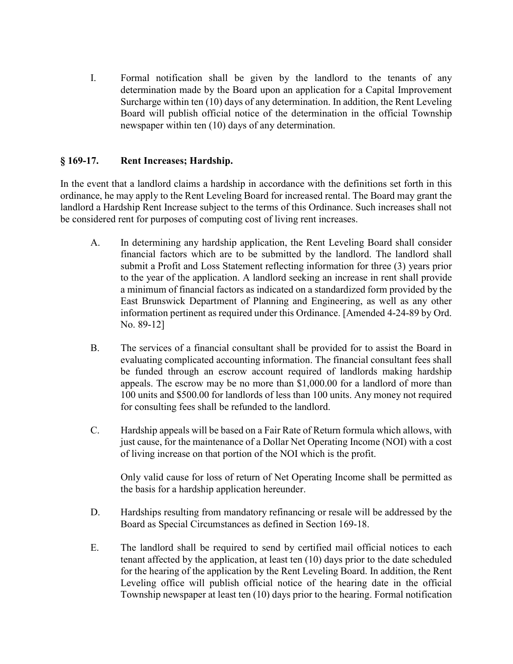I. Formal notification shall be given by the landlord to the tenants of any determination made by the Board upon an application for a Capital Improvement Surcharge within ten (10) days of any determination. In addition, the Rent Leveling Board will publish official notice of the determination in the official Township newspaper within ten (10) days of any determination.

## § 169-17. Rent Increases; Hardship.

In the event that a landlord claims a hardship in accordance with the definitions set forth in this ordinance, he may apply to the Rent Leveling Board for increased rental. The Board may grant the landlord a Hardship Rent Increase subject to the terms of this Ordinance. Such increases shall not be considered rent for purposes of computing cost of living rent increases.

- A. In determining any hardship application, the Rent Leveling Board shall consider financial factors which are to be submitted by the landlord. The landlord shall submit a Profit and Loss Statement reflecting information for three (3) years prior to the year of the application. A landlord seeking an increase in rent shall provide a minimum of financial factors as indicated on a standardized form provided by the East Brunswick Department of Planning and Engineering, as well as any other information pertinent as required under this Ordinance. [Amended 4-24-89 by Ord. No. 89-12]
- B. The services of a financial consultant shall be provided for to assist the Board in evaluating complicated accounting information. The financial consultant fees shall be funded through an escrow account required of landlords making hardship appeals. The escrow may be no more than \$1,000.00 for a landlord of more than 100 units and \$500.00 for landlords of less than 100 units. Any money not required for consulting fees shall be refunded to the landlord.
- C. Hardship appeals will be based on a Fair Rate of Return formula which allows, with just cause, for the maintenance of a Dollar Net Operating Income (NOI) with a cost of living increase on that portion of the NOI which is the profit.

 Only valid cause for loss of return of Net Operating Income shall be permitted as the basis for a hardship application hereunder.

- D. Hardships resulting from mandatory refinancing or resale will be addressed by the Board as Special Circumstances as defined in Section 169-18.
- E. The landlord shall be required to send by certified mail official notices to each tenant affected by the application, at least ten (10) days prior to the date scheduled for the hearing of the application by the Rent Leveling Board. In addition, the Rent Leveling office will publish official notice of the hearing date in the official Township newspaper at least ten (10) days prior to the hearing. Formal notification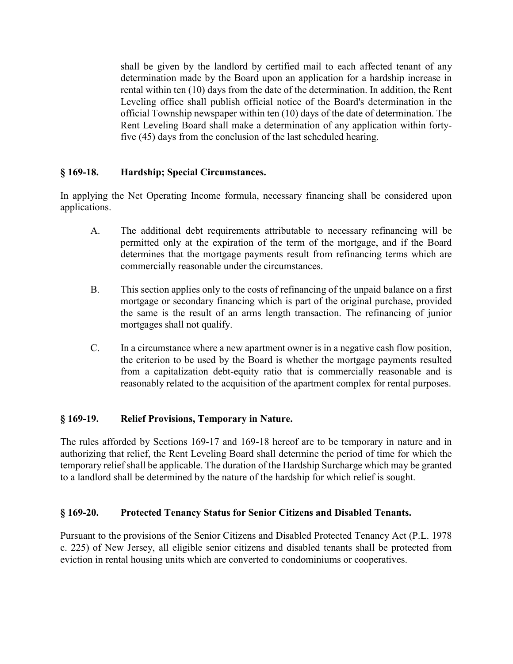shall be given by the landlord by certified mail to each affected tenant of any determination made by the Board upon an application for a hardship increase in rental within ten (10) days from the date of the determination. In addition, the Rent Leveling office shall publish official notice of the Board's determination in the official Township newspaper within ten (10) days of the date of determination. The Rent Leveling Board shall make a determination of any application within fortyfive (45) days from the conclusion of the last scheduled hearing.

#### § 169-18. Hardship; Special Circumstances.

In applying the Net Operating Income formula, necessary financing shall be considered upon applications.

- A. The additional debt requirements attributable to necessary refinancing will be permitted only at the expiration of the term of the mortgage, and if the Board determines that the mortgage payments result from refinancing terms which are commercially reasonable under the circumstances.
- B. This section applies only to the costs of refinancing of the unpaid balance on a first mortgage or secondary financing which is part of the original purchase, provided the same is the result of an arms length transaction. The refinancing of junior mortgages shall not qualify.
- C. In a circumstance where a new apartment owner is in a negative cash flow position, the criterion to be used by the Board is whether the mortgage payments resulted from a capitalization debt-equity ratio that is commercially reasonable and is reasonably related to the acquisition of the apartment complex for rental purposes.

### § 169-19. Relief Provisions, Temporary in Nature.

The rules afforded by Sections 169-17 and 169-18 hereof are to be temporary in nature and in authorizing that relief, the Rent Leveling Board shall determine the period of time for which the temporary relief shall be applicable. The duration of the Hardship Surcharge which may be granted to a landlord shall be determined by the nature of the hardship for which relief is sought.

### § 169-20. Protected Tenancy Status for Senior Citizens and Disabled Tenants.

Pursuant to the provisions of the Senior Citizens and Disabled Protected Tenancy Act (P.L. 1978 c. 225) of New Jersey, all eligible senior citizens and disabled tenants shall be protected from eviction in rental housing units which are converted to condominiums or cooperatives.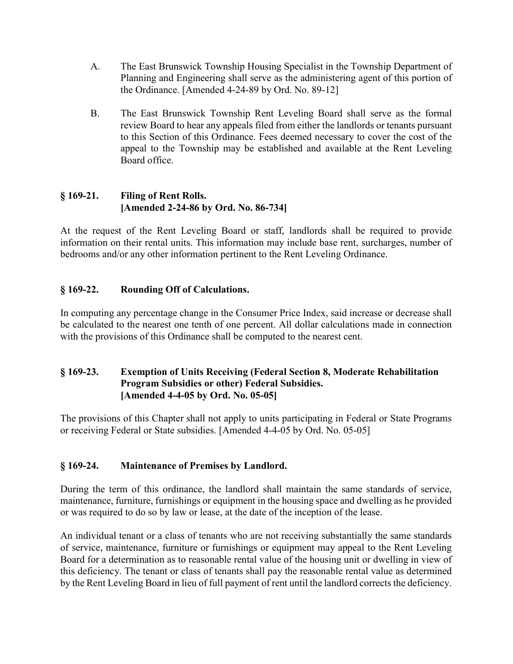- A. The East Brunswick Township Housing Specialist in the Township Department of Planning and Engineering shall serve as the administering agent of this portion of the Ordinance. [Amended 4-24-89 by Ord. No. 89-12]
- B. The East Brunswick Township Rent Leveling Board shall serve as the formal review Board to hear any appeals filed from either the landlords or tenants pursuant to this Section of this Ordinance. Fees deemed necessary to cover the cost of the appeal to the Township may be established and available at the Rent Leveling Board office.

## § 169-21. Filing of Rent Rolls. [Amended 2-24-86 by Ord. No. 86-734]

At the request of the Rent Leveling Board or staff, landlords shall be required to provide information on their rental units. This information may include base rent, surcharges, number of bedrooms and/or any other information pertinent to the Rent Leveling Ordinance.

# § 169-22. Rounding Off of Calculations.

In computing any percentage change in the Consumer Price Index, said increase or decrease shall be calculated to the nearest one tenth of one percent. All dollar calculations made in connection with the provisions of this Ordinance shall be computed to the nearest cent.

# § 169-23. Exemption of Units Receiving (Federal Section 8, Moderate Rehabilitation Program Subsidies or other) Federal Subsidies. [Amended 4-4-05 by Ord. No. 05-05]

The provisions of this Chapter shall not apply to units participating in Federal or State Programs or receiving Federal or State subsidies. [Amended 4-4-05 by Ord. No. 05-05]

# § 169-24. Maintenance of Premises by Landlord.

During the term of this ordinance, the landlord shall maintain the same standards of service, maintenance, furniture, furnishings or equipment in the housing space and dwelling as he provided or was required to do so by law or lease, at the date of the inception of the lease.

An individual tenant or a class of tenants who are not receiving substantially the same standards of service, maintenance, furniture or furnishings or equipment may appeal to the Rent Leveling Board for a determination as to reasonable rental value of the housing unit or dwelling in view of this deficiency. The tenant or class of tenants shall pay the reasonable rental value as determined by the Rent Leveling Board in lieu of full payment of rent until the landlord corrects the deficiency.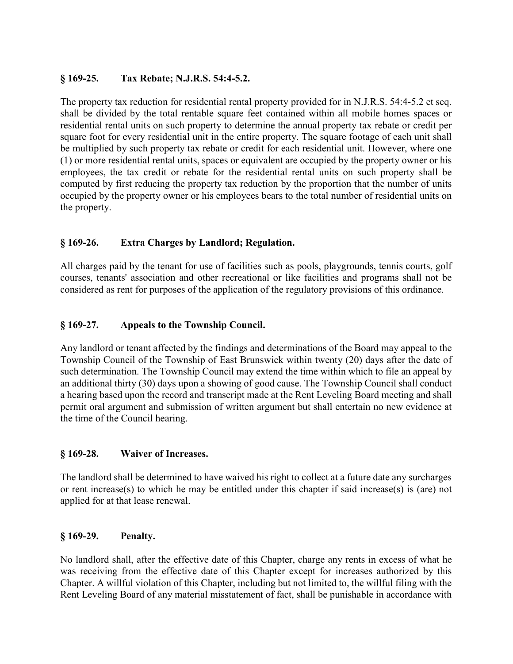### § 169-25. Tax Rebate; N.J.R.S. 54:4-5.2.

The property tax reduction for residential rental property provided for in N.J.R.S. 54:4-5.2 et seq. shall be divided by the total rentable square feet contained within all mobile homes spaces or residential rental units on such property to determine the annual property tax rebate or credit per square foot for every residential unit in the entire property. The square footage of each unit shall be multiplied by such property tax rebate or credit for each residential unit. However, where one (1) or more residential rental units, spaces or equivalent are occupied by the property owner or his employees, the tax credit or rebate for the residential rental units on such property shall be computed by first reducing the property tax reduction by the proportion that the number of units occupied by the property owner or his employees bears to the total number of residential units on the property.

# § 169-26. Extra Charges by Landlord; Regulation.

All charges paid by the tenant for use of facilities such as pools, playgrounds, tennis courts, golf courses, tenants' association and other recreational or like facilities and programs shall not be considered as rent for purposes of the application of the regulatory provisions of this ordinance.

### § 169-27. Appeals to the Township Council.

Any landlord or tenant affected by the findings and determinations of the Board may appeal to the Township Council of the Township of East Brunswick within twenty (20) days after the date of such determination. The Township Council may extend the time within which to file an appeal by an additional thirty (30) days upon a showing of good cause. The Township Council shall conduct a hearing based upon the record and transcript made at the Rent Leveling Board meeting and shall permit oral argument and submission of written argument but shall entertain no new evidence at the time of the Council hearing.

#### § 169-28. Waiver of Increases.

The landlord shall be determined to have waived his right to collect at a future date any surcharges or rent increase(s) to which he may be entitled under this chapter if said increase(s) is (are) not applied for at that lease renewal.

### § 169-29. Penalty.

No landlord shall, after the effective date of this Chapter, charge any rents in excess of what he was receiving from the effective date of this Chapter except for increases authorized by this Chapter. A willful violation of this Chapter, including but not limited to, the willful filing with the Rent Leveling Board of any material misstatement of fact, shall be punishable in accordance with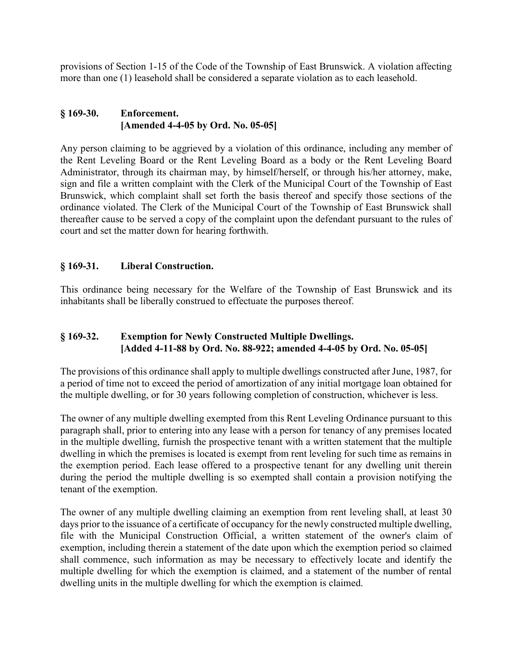provisions of Section 1-15 of the Code of the Township of East Brunswick. A violation affecting more than one (1) leasehold shall be considered a separate violation as to each leasehold.

### § 169-30. Enforcement. [Amended 4-4-05 by Ord. No. 05-05]

Any person claiming to be aggrieved by a violation of this ordinance, including any member of the Rent Leveling Board or the Rent Leveling Board as a body or the Rent Leveling Board Administrator, through its chairman may, by himself/herself, or through his/her attorney, make, sign and file a written complaint with the Clerk of the Municipal Court of the Township of East Brunswick, which complaint shall set forth the basis thereof and specify those sections of the ordinance violated. The Clerk of the Municipal Court of the Township of East Brunswick shall thereafter cause to be served a copy of the complaint upon the defendant pursuant to the rules of court and set the matter down for hearing forthwith.

# § 169-31. Liberal Construction.

This ordinance being necessary for the Welfare of the Township of East Brunswick and its inhabitants shall be liberally construed to effectuate the purposes thereof.

# § 169-32. Exemption for Newly Constructed Multiple Dwellings. [Added 4-11-88 by Ord. No. 88-922; amended 4-4-05 by Ord. No. 05-05]

The provisions of this ordinance shall apply to multiple dwellings constructed after June, 1987, for a period of time not to exceed the period of amortization of any initial mortgage loan obtained for the multiple dwelling, or for 30 years following completion of construction, whichever is less.

The owner of any multiple dwelling exempted from this Rent Leveling Ordinance pursuant to this paragraph shall, prior to entering into any lease with a person for tenancy of any premises located in the multiple dwelling, furnish the prospective tenant with a written statement that the multiple dwelling in which the premises is located is exempt from rent leveling for such time as remains in the exemption period. Each lease offered to a prospective tenant for any dwelling unit therein during the period the multiple dwelling is so exempted shall contain a provision notifying the tenant of the exemption.

The owner of any multiple dwelling claiming an exemption from rent leveling shall, at least 30 days prior to the issuance of a certificate of occupancy for the newly constructed multiple dwelling, file with the Municipal Construction Official, a written statement of the owner's claim of exemption, including therein a statement of the date upon which the exemption period so claimed shall commence, such information as may be necessary to effectively locate and identify the multiple dwelling for which the exemption is claimed, and a statement of the number of rental dwelling units in the multiple dwelling for which the exemption is claimed.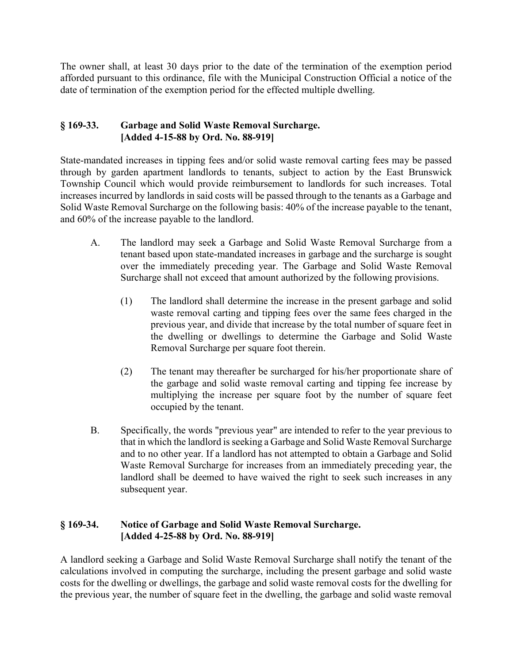The owner shall, at least 30 days prior to the date of the termination of the exemption period afforded pursuant to this ordinance, file with the Municipal Construction Official a notice of the date of termination of the exemption period for the effected multiple dwelling.

## § 169-33. Garbage and Solid Waste Removal Surcharge. [Added 4-15-88 by Ord. No. 88-919]

State-mandated increases in tipping fees and/or solid waste removal carting fees may be passed through by garden apartment landlords to tenants, subject to action by the East Brunswick Township Council which would provide reimbursement to landlords for such increases. Total increases incurred by landlords in said costs will be passed through to the tenants as a Garbage and Solid Waste Removal Surcharge on the following basis: 40% of the increase payable to the tenant, and 60% of the increase payable to the landlord.

- A. The landlord may seek a Garbage and Solid Waste Removal Surcharge from a tenant based upon state-mandated increases in garbage and the surcharge is sought over the immediately preceding year. The Garbage and Solid Waste Removal Surcharge shall not exceed that amount authorized by the following provisions.
	- (1) The landlord shall determine the increase in the present garbage and solid waste removal carting and tipping fees over the same fees charged in the previous year, and divide that increase by the total number of square feet in the dwelling or dwellings to determine the Garbage and Solid Waste Removal Surcharge per square foot therein.
	- (2) The tenant may thereafter be surcharged for his/her proportionate share of the garbage and solid waste removal carting and tipping fee increase by multiplying the increase per square foot by the number of square feet occupied by the tenant.
- B. Specifically, the words "previous year" are intended to refer to the year previous to that in which the landlord is seeking a Garbage and Solid Waste Removal Surcharge and to no other year. If a landlord has not attempted to obtain a Garbage and Solid Waste Removal Surcharge for increases from an immediately preceding year, the landlord shall be deemed to have waived the right to seek such increases in any subsequent year.

### § 169-34. Notice of Garbage and Solid Waste Removal Surcharge. [Added 4-25-88 by Ord. No. 88-919]

A landlord seeking a Garbage and Solid Waste Removal Surcharge shall notify the tenant of the calculations involved in computing the surcharge, including the present garbage and solid waste costs for the dwelling or dwellings, the garbage and solid waste removal costs for the dwelling for the previous year, the number of square feet in the dwelling, the garbage and solid waste removal